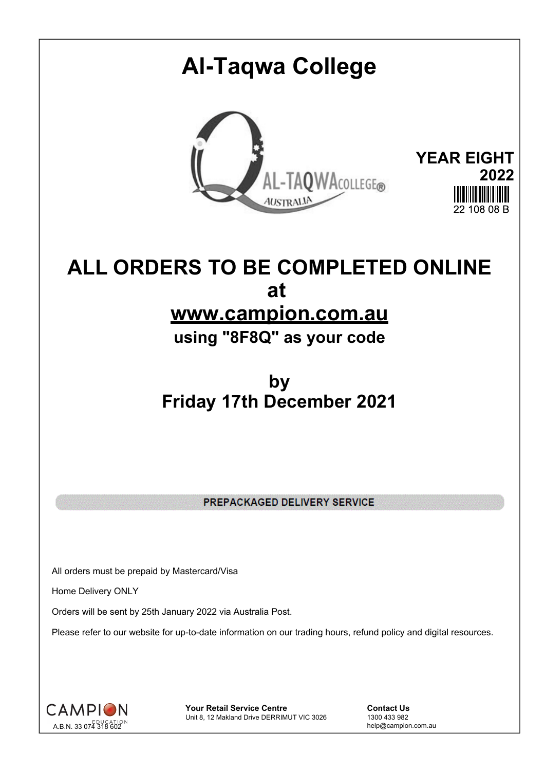# **Al-Taqwa College YEAR EIGHT** AL-TAQWACOLLEGE® **2022 AUSTRALIA** 22 108 08 B

# **ALL ORDERS TO BE COMPLETED ONLINE at www.campion.com.au**

**using "8F8Q" as your code**

## **by Friday 17th December 2021**

PREPACKAGED DELIVERY SERVICE

All orders must be prepaid by Mastercard/Visa

Home Delivery ONLY

Orders will be sent by 25th January 2022 via Australia Post.

Please refer to our website for up-to-date information on our trading hours, refund policy and digital resources.



**Your Retail Service Centre Contact Us**<br>
Unit 8, 12 Makland Drive DERRIMUT VIC 3026
1300 433 982 Unit 8, 12 Makland Drive DERRIMUT VIC 3026

help@campion.com.au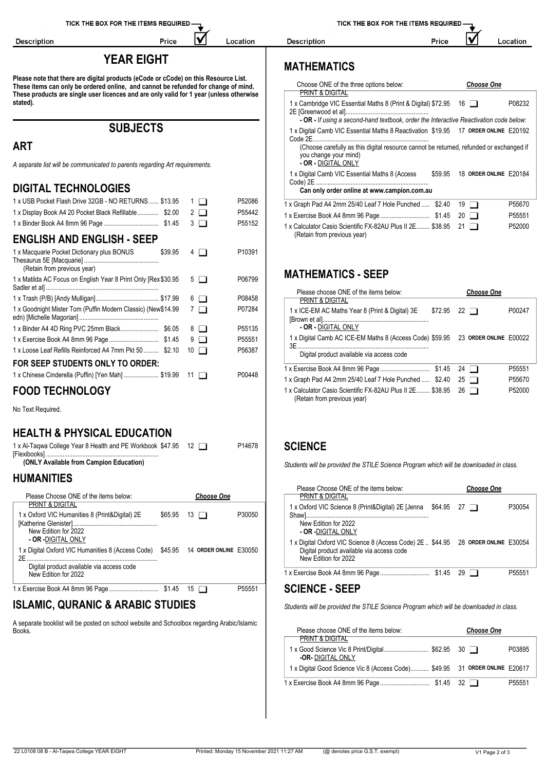Description

#### **YEAR EIGHT**

IV

Location

Price

**Please note that there are digital products (eCode or cCode) on this Resource List. These items can only be ordered online, and cannot be refunded for change of mind. These products are single user licences and are only valid for 1 year (unless otherwise stated).**

**SUBJECTS**

### **ART**

*A separate list will be communicated to parents regarding Art requirements.*

#### **DIGITAL TECHNOLOGIES**

| 1 x USB Pocket Flash Drive 32GB - NO RETURNS  \$13.95                                | $1$ $\Box$ | P52086 | 1 x Graph Pad A4 2mm 25/40 Leaf 7 Hole Punched $$2.40$ 19 $\Box$                |                    | P55670 |
|--------------------------------------------------------------------------------------|------------|--------|---------------------------------------------------------------------------------|--------------------|--------|
| 1 x Display Book A4 20 Pocket Black Refillable \$2.00                                | $2 \Box$   | P55442 |                                                                                 |                    | P55551 |
|                                                                                      | $3 \Box$   | P55152 | 1 x Calculator Casio Scientific FX-82AU Plus II 2E \$38.95 21                   |                    | P52000 |
| <b>ENGLISH AND ENGLISH - SEEP</b>                                                    |            |        | (Retain from previous year)                                                     |                    |        |
| 1 x Macquarie Pocket Dictionary plus BONUS<br>\$39.95<br>(Retain from previous year) | $4\Box$    | P10391 |                                                                                 |                    |        |
| 1 x Matilda AC Focus on English Year 8 Print Only [Rex \$30.95 5                     |            | P06799 | <b>MATHEMATICS - SEEP</b>                                                       |                    |        |
|                                                                                      |            | P08458 | Please choose ONE of the items below:<br><b>PRINT &amp; DIGITAL</b>             | <b>Choose One</b>  |        |
| 1 x Goodnight Mister Tom (Puffin Modern Classic) (New\$14.99                         | 7 O        | P07284 | 1 x ICE-EM AC Maths Year 8 (Print & Digital) 3E                                 | $$72.95$ 22 $\Box$ | P00247 |
|                                                                                      |            | P55135 | - OR - DIGITAL ONLY                                                             |                    |        |
|                                                                                      | $9$ $\Box$ | P55551 | 1 x Digital Camb AC ICE-EM Maths 8 (Access Code) \$59.95 23 ORDER ONLINE E00022 |                    |        |
| 1 x Loose Leaf Refills Reinforced A4 7mm Pkt 50  \$2.10 10                           |            | P56387 | Digital product available via access code                                       |                    |        |
| FOR SEEP STUDENTS ONLY TO ORDER:                                                     |            |        |                                                                                 |                    |        |
| 1 x Chinese Cinderella (Puffin) [Yen Mah] \$19.99 11 □                               |            | P00448 |                                                                                 |                    | P55551 |
|                                                                                      |            |        | 1 x Graph Pad A4 2mm 25/40 Leaf 7 Hole Punched  \$2.40 25 $\Box$                |                    | P55670 |

**FOOD TECHNOLOGY**

No Text Required.

#### **HEALTH & PHYSICAL EDUCATION**

**(ONLY Available from Campion Education)** 1 x Al-Taqwa College Year 8 Health and PE Workbook [Flexibooks] .................................................................... \$47.95 <sup>12</sup> P14678

#### **HUMANITIES**

|                                                                                         |                    |        | . וטטטע טווטופט טויד טו וואסטוויט טטטא                                           | <b>UNUVUU UNU</b> |        |
|-----------------------------------------------------------------------------------------|--------------------|--------|----------------------------------------------------------------------------------|-------------------|--------|
| Please Choose ONE of the items below:                                                   | <b>Choose One</b>  |        | <b>PRINT &amp; DIGITAL</b>                                                       |                   |        |
| <b>PRINT &amp; DIGITAL</b>                                                              |                    |        | 1 x Oxford VIC Science 8 (Print&Digital) 2E [Jenna \$64.95 27 □                  |                   | P30054 |
| 1 x Oxford VIC Humanities 8 (Print&Digital) 2E                                          | $$65.95$ 13 $\Box$ | P30050 |                                                                                  |                   |        |
| New Edition for 2022                                                                    |                    |        | New Edition for 2022<br>- OR -DIGITAL ONLY                                       |                   |        |
| <b>- OR -</b> DIGITAL ONLY                                                              |                    |        | 1 x Digital Oxford VIC Science 8 (Access Code) 2E \$44.95 28 ORDER ONLINE E30054 |                   |        |
| 1 x Digital Oxford VIC Humanities 8 (Access Code) \$45.95 14 ORDER ONLINE E30050<br>2F. |                    |        | Digital product available via access code<br>New Edition for 2022                |                   |        |
| Digital product available via access code<br>New Edition for 2022                       |                    |        | 1 x Exercise Book A4 8mm 96 Page  \$1.45 29 □                                    |                   | P55551 |
|                                                                                         |                    | P55551 | <b>SCIENCE - SEEP</b>                                                            |                   |        |

#### **ISLAMIC, QURANIC & ARABIC STUDIES**

A separate booklist will be posted on school website and Schoolbox regarding Arabic/Islamic Books.

TICK THE BOX FOR THE ITEMS REQUIRED

Description

#### IV Location Price

### **MATHEMATICS**

| Choose ONE of the three options below:<br>PRINT & DIGITAL                                                                                                                                                                                |         |    | <b>Choose One</b>      |        |
|------------------------------------------------------------------------------------------------------------------------------------------------------------------------------------------------------------------------------------------|---------|----|------------------------|--------|
| 1 x Cambridge VIC Essential Maths 8 (Print & Digital) \$72.95<br>- OR - If using a second-hand textbook, order the Interactive Reactivation code below:                                                                                  |         | 16 |                        | P08232 |
| 1 x Digital Camb VIC Essential Maths 8 Reactivation \$19.95 17 ORDER ONLINE E20192<br>Code 2F<br>(Choose carefully as this digital resource cannot be returned, refunded or exchanged if<br>you change your mind)<br>- OR - DIGITAL ONLY |         |    |                        |        |
| 1 x Digital Camb VIC Essential Maths 8 (Access<br>Code) 2E.<br>Can only order online at www.campion.com.au                                                                                                                               | \$59.95 |    | 18 ORDER ONLINE E20184 |        |
| 1 x Graph Pad A4 2mm 25/40 Leaf 7 Hole Punched                                                                                                                                                                                           | \$2.40  | 19 |                        | P55670 |
|                                                                                                                                                                                                                                          |         |    |                        | P55551 |

## **MATHEMATICS - SEEP**

| Please choose ONE of the items below:                                                     | <b>Choose One</b>               |
|-------------------------------------------------------------------------------------------|---------------------------------|
| <b>PRINT &amp; DIGITAL</b>                                                                |                                 |
| 1 x ICE-EM AC Maths Year 8 (Print & Digital) 3E<br>\$72.95<br>- OR - DIGITAL ONLY         | P00247<br>$22 \Box$             |
|                                                                                           |                                 |
| 1 x Digital Camb AC ICE-EM Maths 8 (Access Code) \$59.95 23 ORDER ONLINE E00022<br>3E.    |                                 |
| Digital product available via access code                                                 |                                 |
|                                                                                           | P <sub>55551</sub><br>$24 \Box$ |
| 1 x Graph Pad A4 2mm 25/40 Leaf 7 Hole Punched  \$2.40                                    | P55670<br>25<br>$\blacksquare$  |
| 1 x Calculator Casio Scientific FX-82AU Plus II 2E \$38.95<br>(Retain from previous year) | P52000<br>26                    |

#### **SCIENCE**

*Students will be provided the STILE Science Program which will be downloaded in class.*

| Please Choose ONE of the items below:                                                                                                                  |                    | <b>Choose One</b> |                    |
|--------------------------------------------------------------------------------------------------------------------------------------------------------|--------------------|-------------------|--------------------|
| PRINT & DIGITAL<br>1 x Oxford VIC Science 8 (Print&Digital) 2E [Jenna                                                                                  | $$64.95$ 27 $\Box$ |                   | P30054             |
| New Edition for 2022<br>- OR -DIGITAL ONLY                                                                                                             |                    |                   |                    |
| 1 x Digital Oxford VIC Science 8 (Access Code) 2E  \$44.95 28 ORDER ONLINE E30054<br>Digital product available via access code<br>New Edition for 2022 |                    |                   |                    |
|                                                                                                                                                        |                    | 29 I I            | P <sub>55551</sub> |

*Students will be provided the STILE Science Program which will be downloaded in class.*

| Please choose ONE of the items below:                                       | <b>Choose One</b> |                    |
|-----------------------------------------------------------------------------|-------------------|--------------------|
| <b>PRINT &amp; DIGITAL</b>                                                  |                   |                    |
| <b>-OR-DIGITAL ONLY</b>                                                     |                   | P03895             |
| 1 x Digital Good Science Vic 8 (Access Code) \$49.95 31 ORDER ONLINE E20617 |                   |                    |
|                                                                             |                   | P <sub>55551</sub> |